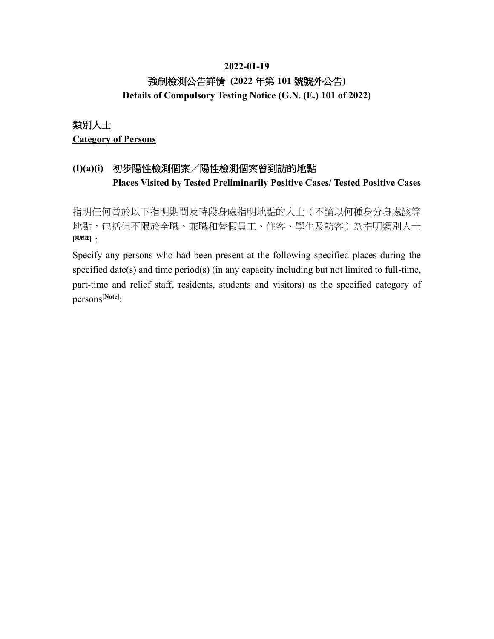## **2022-01-19** 強制檢測公告詳情 **(2022** 年第 **101** 號號外公告**) Details of Compulsory Testing Notice (G.N. (E.) 101 of 2022)**

## 類別人士 **Category of Persons**

## **(I)(a)(i)** 初步陽性檢測個案╱陽性檢測個案曾到訪的地點 **Places Visited by Tested Preliminarily Positive Cases/ Tested Positive Cases**

指明任何曾於以下指明期間及時段身處指明地點的人士(不論以何種身分身處該等 地點,包括但不限於全職、兼職和替假員工、住客、學生及訪客)為指明類別人士 **[**見附註**]**:

Specify any persons who had been present at the following specified places during the specified date(s) and time period(s) (in any capacity including but not limited to full-time, part-time and relief staff, residents, students and visitors) as the specified category of persons**[Note]**: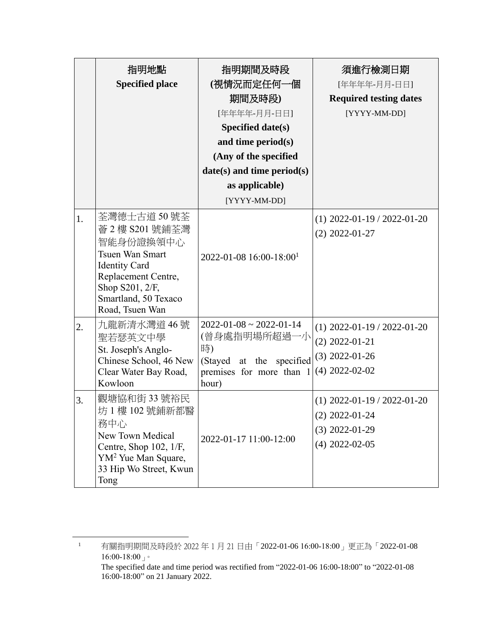|    | 指明地點<br><b>Specified place</b>                                                                                                                                                      | 指明期間及時段<br>(視情況而定任何一個<br>期間及時段)<br>[年年年年-月月-日日]<br>Specified date(s)<br>and time period(s)<br>(Any of the specified<br>$date(s)$ and time period(s)<br>as applicable)<br>[YYYY-MM-DD] | 須進行檢測日期<br>[年年年年-月月-日日]<br><b>Required testing dates</b><br>[YYYY-MM-DD]                  |
|----|-------------------------------------------------------------------------------------------------------------------------------------------------------------------------------------|---------------------------------------------------------------------------------------------------------------------------------------------------------------------------------------|-------------------------------------------------------------------------------------------|
| 1. | 荃灣德士古道 50 號荃<br>薈 2 樓 S201 號鋪荃灣<br>智能身份證換領中心<br><b>Tsuen Wan Smart</b><br><b>Identity Card</b><br>Replacement Centre,<br>Shop S201, 2/F,<br>Smartland, 50 Texaco<br>Road, Tsuen Wan | $2022 - 01 - 08$ 16:00-18:00 <sup>1</sup>                                                                                                                                             | $(1)$ 2022-01-19 / 2022-01-20<br>$(2)$ 2022-01-27                                         |
| 2. | 九龍新清水灣道 46 號<br>聖若瑟英文中學<br>St. Joseph's Anglo-<br>Chinese School, 46 New<br>Clear Water Bay Road,<br>Kowloon                                                                        | $2022 - 01 - 08 \approx 2022 - 01 - 14$<br>(曾身處指明場所超過一小<br>時)<br>(Stayed at the specified<br>premises for more than 1<br>hour)                                                        | $(1)$ 2022-01-19 / 2022-01-20<br>$(2)$ 2022-01-21<br>$(3)$ 2022-01-26<br>$(4)$ 2022-02-02 |
| 3. | 觀塘協和街 33 號裕民<br>坊 1 樓 102 號鋪新都醫<br>務中心<br>New Town Medical<br>Centre, Shop $102$ , $1/F$ ,<br>YM <sup>2</sup> Yue Man Square,<br>33 Hip Wo Street, Kwun<br>Tong                     | 2022-01-17 11:00-12:00                                                                                                                                                                | $(1)$ 2022-01-19 / 2022-01-20<br>$(2)$ 2022-01-24<br>$(3)$ 2022-01-29<br>$(4)$ 2022-02-05 |

16:00-18:00" on 21 January 2022.

 $\overline{1}$  有關指明期間及時段於 2022 年 1 月 21 日由「2022-01-06 16:00-18:00」更正為「2022-01-08 16:00-18:00 $\lrcorner$   $^{\circ}$ The specified date and time period was rectified from "2022-01-06 16:00-18:00" to "2022-01-08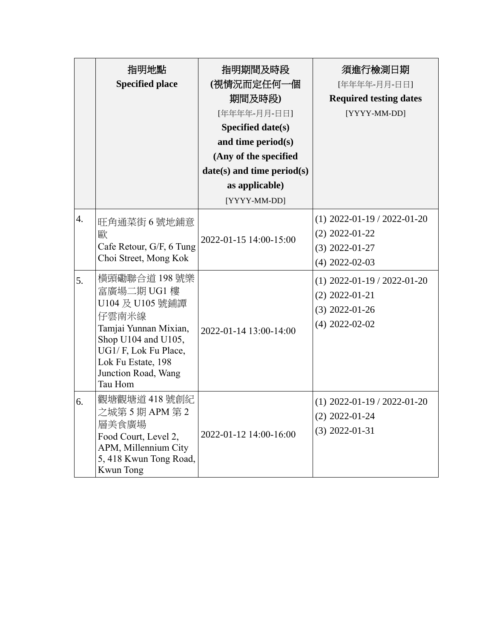|                        | 指明地點<br><b>Specified place</b>                                                                                                                                                                                                                                   | 指明期間及時段<br>(視情況而定任何一個<br>期間及時段)<br>[年年年年-月月-日日]<br><b>Specified date(s)</b><br>and time period(s)<br>(Any of the specified<br>$date(s)$ and time period(s)<br>as applicable)<br>[YYYY-MM-DD] | 須進行檢測日期<br>[年年年年-月月-日日]<br><b>Required testing dates</b><br>[YYYY-MM-DD]                                                                                                               |
|------------------------|------------------------------------------------------------------------------------------------------------------------------------------------------------------------------------------------------------------------------------------------------------------|----------------------------------------------------------------------------------------------------------------------------------------------------------------------------------------------|----------------------------------------------------------------------------------------------------------------------------------------------------------------------------------------|
| $\overline{4}$ .<br>5. | 旺角通菜街 6 號地鋪意<br>歐<br>Cafe Retour, G/F, 6 Tung<br>Choi Street, Mong Kok<br>橫頭磡聯合道 198號樂<br>富廣場二期 UG1樓<br>U104 及 U105 號鋪譚<br>仔雲南米線<br>Tamjai Yunnan Mixian,<br>Shop U104 and U105,<br>UG1/F, Lok Fu Place,<br>Lok Fu Estate, 198<br>Junction Road, Wang<br>Tau Hom | 2022-01-15 14:00-15:00<br>2022-01-14 13:00-14:00                                                                                                                                             | $(1)$ 2022-01-19 / 2022-01-20<br>$(2)$ 2022-01-22<br>$(3)$ 2022-01-27<br>$(4)$ 2022-02-03<br>$(1)$ 2022-01-19 / 2022-01-20<br>$(2)$ 2022-01-21<br>$(3)$ 2022-01-26<br>$(4)$ 2022-02-02 |
| 6.                     | 觀塘觀塘道 418 號創紀<br>之城第 5 期 APM 第 2<br>層美食廣場<br>Food Court, Level 2,<br>APM, Millennium City<br>5, 418 Kwun Tong Road,<br><b>Kwun Tong</b>                                                                                                                          | 2022-01-12 14:00-16:00                                                                                                                                                                       | $(1)$ 2022-01-19 / 2022-01-20<br>$(2)$ 2022-01-24<br>$(3)$ 2022-01-31                                                                                                                  |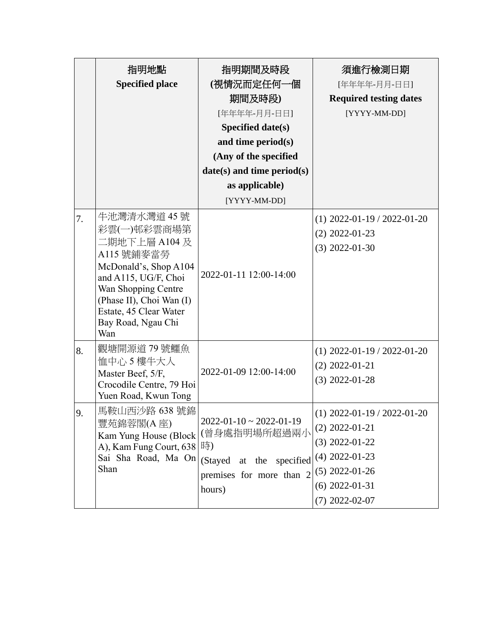|    | 指明地點<br><b>Specified place</b>                                                                                                                                                                                        | 指明期間及時段<br>(視情況而定任何一個<br>期間及時段)<br>[年年年年-月月-日日]<br>Specified date(s)<br>and time period(s)<br>(Any of the specified<br>$date(s)$ and time period(s)<br>as applicable) | 須進行檢測日期<br>[年年年年-月月-日日]<br><b>Required testing dates</b><br>[YYYY-MM-DD]                                                                              |
|----|-----------------------------------------------------------------------------------------------------------------------------------------------------------------------------------------------------------------------|-----------------------------------------------------------------------------------------------------------------------------------------------------------------------|-------------------------------------------------------------------------------------------------------------------------------------------------------|
| 7. | 牛池灣清水灣道 45 號<br>彩雲(一)邨彩雲商場第<br>二期地下上層 A104 及<br>A115 號鋪麥當勞<br>McDonald's, Shop A104<br>and A115, UG/F, Choi<br>Wan Shopping Centre<br>(Phase II), Choi Wan (I)<br>Estate, 45 Clear Water<br>Bay Road, Ngau Chi<br>Wan | [YYYY-MM-DD]<br>2022-01-11 12:00-14:00                                                                                                                                | $(1)$ 2022-01-19 / 2022-01-20<br>$(2)$ 2022-01-23<br>$(3)$ 2022-01-30                                                                                 |
| 8. | 觀塘開源道 79 號鱷魚<br>恤中心 5 樓牛大人<br>Master Beef, 5/F,<br>Crocodile Centre, 79 Hoi<br>Yuen Road, Kwun Tong                                                                                                                   | 2022-01-09 12:00-14:00                                                                                                                                                | $(1)$ 2022-01-19 / 2022-01-20<br>$(2)$ 2022-01-21<br>$(3)$ 2022-01-28                                                                                 |
| 9. | 馬鞍山西沙路 638 號錦<br>豐苑錦蓉閣(A 座)<br>Kam Yung House (Block<br>A), Kam Fung Court, 638<br>Sai Sha Road, Ma On<br>Shan                                                                                                        | $2022 - 01 - 10 \sim 2022 - 01 - 19$<br>(曾身處指明場所超過兩小<br>時)<br>(Stayed at the specified<br>premises for more than 2<br>hours)                                          | $(1)$ 2022-01-19 / 2022-01-20<br>$(2)$ 2022-01-21<br>$(3)$ 2022-01-22<br>$(4)$ 2022-01-23<br>$(5)$ 2022-01-26<br>$(6)$ 2022-01-31<br>$(7)$ 2022-02-07 |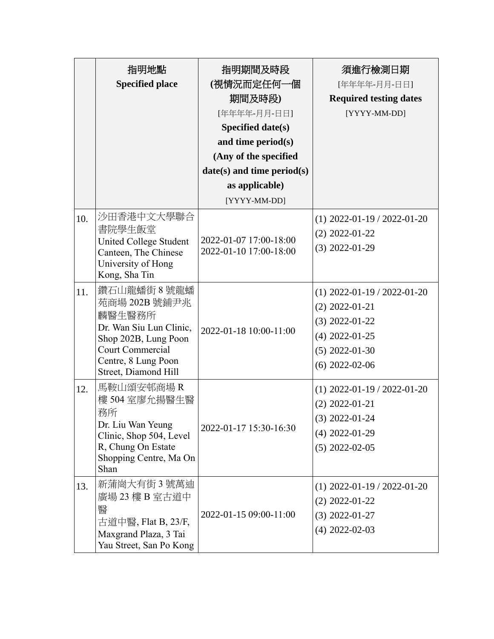|     | 指明地點<br><b>Specified place</b>                                                                                                                               | 指明期間及時段<br>(視情況而定任何一個<br>期間及時段)<br>[年年年年-月月-日日]<br>Specified date(s)<br>and time period(s)<br>(Any of the specified<br>$date(s)$ and time period(s)<br>as applicable)<br>[YYYY-MM-DD] | 須進行檢測日期<br>[年年年年-月月-日日]<br><b>Required testing dates</b><br>[YYYY-MM-DD]                                                          |
|-----|--------------------------------------------------------------------------------------------------------------------------------------------------------------|---------------------------------------------------------------------------------------------------------------------------------------------------------------------------------------|-----------------------------------------------------------------------------------------------------------------------------------|
| 10. | 沙田香港中文大學聯合<br>書院學生飯堂<br>United College Student<br>Canteen, The Chinese<br>University of Hong<br>Kong, Sha Tin                                                | 2022-01-07 17:00-18:00<br>2022-01-10 17:00-18:00                                                                                                                                      | $(1)$ 2022-01-19 / 2022-01-20<br>$(2)$ 2022-01-22<br>$(3)$ 2022-01-29                                                             |
| 11. | 鑽石山龍蟠街 8號龍蟠<br>苑商場 202B 號鋪尹兆<br>麟醫生醫務所<br>Dr. Wan Siu Lun Clinic,<br>Shop 202B, Lung Poon<br>Court Commercial<br>Centre, 8 Lung Poon<br>Street, Diamond Hill | 2022-01-18 10:00-11:00                                                                                                                                                                | $(1)$ 2022-01-19 / 2022-01-20<br>$(2)$ 2022-01-21<br>$(3)$ 2022-01-22<br>$(4)$ 2022-01-25<br>$(5)$ 2022-01-30<br>$(6)$ 2022-02-06 |
| 12. | 馬鞍山頌安邨商場R<br>樓 504 室廖允揚醫生醫<br>務所<br>Dr. Liu Wan Yeung<br>Clinic, Shop 504, Level<br>R, Chung On Estate<br>Shopping Centre, Ma On<br>Shan                     | 2022-01-17 15:30-16:30                                                                                                                                                                | $(1)$ 2022-01-19 / 2022-01-20<br>$(2)$ 2022-01-21<br>$(3)$ 2022-01-24<br>$(4)$ 2022-01-29<br>$(5)$ 2022-02-05                     |
| 13. | 新蒲崗大有街3號萬迪<br>廣場 23 樓 B 室古道中<br>醫<br>古道中醫, Flat B, 23/F,<br>Maxgrand Plaza, 3 Tai<br>Yau Street, San Po Kong                                                 | 2022-01-15 09:00-11:00                                                                                                                                                                | $(1)$ 2022-01-19 / 2022-01-20<br>$(2)$ 2022-01-22<br>$(3)$ 2022-01-27<br>$(4)$ 2022-02-03                                         |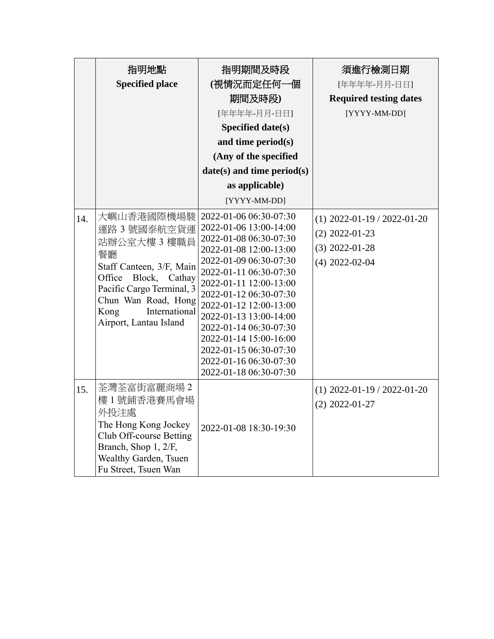|     | 指明地點<br><b>Specified place</b>                                                                                                                                                                                    | 指明期間及時段<br>(視情況而定任何一個<br>期間及時段)<br>[年年年年-月月-日日]<br><b>Specified date(s)</b><br>and time period(s)<br>(Any of the specified<br>$date(s)$ and time period(s)<br>as applicable)<br>[YYYY-MM-DD]                                                                                                                                                                                                       | 須進行檢測日期<br>[年年年年-月月-日日]<br><b>Required testing dates</b><br>[YYYY-MM-DD]                  |
|-----|-------------------------------------------------------------------------------------------------------------------------------------------------------------------------------------------------------------------|----------------------------------------------------------------------------------------------------------------------------------------------------------------------------------------------------------------------------------------------------------------------------------------------------------------------------------------------------------------------------------------------------|-------------------------------------------------------------------------------------------|
| 14. | 大嶼山香港國際機場駿<br>運路 3 號國泰航空貨運<br>站辦公室大樓 3 樓職員<br>餐廳<br>Staff Canteen, 3/F, Main<br>Block,<br>Office<br>Cathay<br>Pacific Cargo Terminal, 3<br>Chun Wan Road, Hong<br>International<br>Kong<br>Airport, Lantau Island | 2022-01-06 06:30-07:30<br>2022-01-06 13:00-14:00<br>2022-01-08 06:30-07:30<br>2022-01-08 12:00-13:00<br>2022-01-09 06:30-07:30<br>2022-01-11 06:30-07:30<br>2022-01-11 12:00-13:00<br>2022-01-12 06:30-07:30<br>2022-01-12 12:00-13:00<br>2022-01-13 13:00-14:00<br>2022-01-14 06:30-07:30<br>2022-01-14 15:00-16:00<br>2022-01-15 06:30-07:30<br>2022-01-16 06:30-07:30<br>2022-01-18 06:30-07:30 | $(1)$ 2022-01-19 / 2022-01-20<br>$(2)$ 2022-01-23<br>$(3)$ 2022-01-28<br>$(4)$ 2022-02-04 |
| 15. | 荃灣荃富街富麗商場2<br>樓1號鋪香港賽馬會場<br>外投注處<br>The Hong Kong Jockey<br>Club Off-course Betting<br>Branch, Shop 1, 2/F,<br>Wealthy Garden, Tsuen<br>Fu Street, Tsuen Wan                                                      | 2022-01-08 18:30-19:30                                                                                                                                                                                                                                                                                                                                                                             | $(1)$ 2022-01-19 / 2022-01-20<br>$(2)$ 2022-01-27                                         |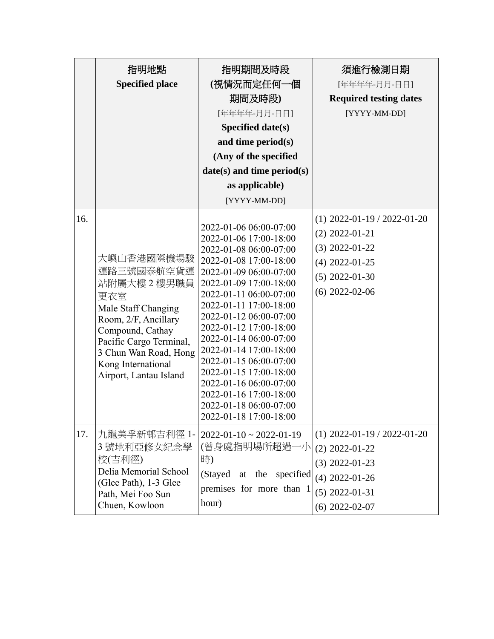|     | 指明地點<br><b>Specified place</b>                                                                                                                                                                                         | 指明期間及時段<br>(視情況而定任何一個<br>期間及時段)<br>[年年年年-月月-日日]<br>Specified date(s)<br>and time period(s)<br>(Any of the specified<br>$date(s)$ and time period(s)<br>as applicable)<br>[YYYY-MM-DD]                                                                                                                                                                                                                                                                                            | 須進行檢測日期<br>[年年年年-月月-日日]<br><b>Required testing dates</b><br>[YYYY-MM-DD]                                                          |
|-----|------------------------------------------------------------------------------------------------------------------------------------------------------------------------------------------------------------------------|----------------------------------------------------------------------------------------------------------------------------------------------------------------------------------------------------------------------------------------------------------------------------------------------------------------------------------------------------------------------------------------------------------------------------------------------------------------------------------|-----------------------------------------------------------------------------------------------------------------------------------|
| 16. | 大嶼山香港國際機場駿<br>運路三號國泰航空貨運<br>站附屬大樓 2 樓男職員<br>更衣室<br>Male Staff Changing<br>Room, 2/F, Ancillary<br>Compound, Cathay<br>Pacific Cargo Terminal,<br>3 Chun Wan Road, Hong<br>Kong International<br>Airport, Lantau Island | 2022-01-06 06:00-07:00<br>2022-01-06 17:00-18:00<br>2022-01-08 06:00-07:00<br>2022-01-08 17:00-18:00<br>2022-01-09 06:00-07:00<br>2022-01-09 17:00-18:00<br>2022-01-11 06:00-07:00<br>2022-01-11 17:00-18:00<br>2022-01-12 06:00-07:00<br>2022-01-12 17:00-18:00<br>2022-01-14 06:00-07:00<br>2022-01-14 17:00-18:00<br>2022-01-15 06:00-07:00<br>2022-01-15 17:00-18:00<br>2022-01-16 06:00-07:00<br>2022-01-16 17:00-18:00<br>2022-01-18 06:00-07:00<br>2022-01-18 17:00-18:00 | $(1)$ 2022-01-19 / 2022-01-20<br>$(2)$ 2022-01-21<br>$(3)$ 2022-01-22<br>$(4)$ 2022-01-25<br>$(5)$ 2022-01-30<br>$(6)$ 2022-02-06 |
| 17. | 九龍美孚新邨吉利徑 1-<br>3 號地利亞修女紀念學<br>校(吉利徑)<br>Delia Memorial School<br>(Glee Path), 1-3 Glee<br>Path, Mei Foo Sun<br>Chuen, Kowloon                                                                                         | $2022 - 01 - 10 \approx 2022 - 01 - 19$<br>(曾身處指明場所超過一小<br>時)<br>(Stayed at the specified<br>premises for more than 1<br>hour)                                                                                                                                                                                                                                                                                                                                                   | $(1)$ 2022-01-19 / 2022-01-20<br>$(2)$ 2022-01-22<br>$(3)$ 2022-01-23<br>$(4)$ 2022-01-26<br>$(5)$ 2022-01-31<br>$(6)$ 2022-02-07 |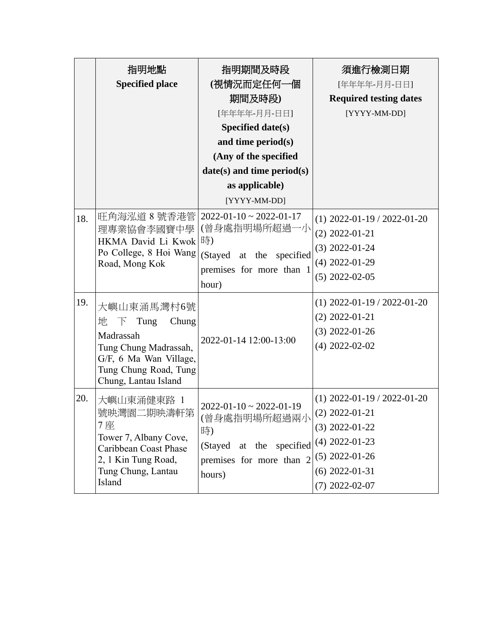|     | 指明地點<br><b>Specified place</b>                                                                                                                                      | 指明期間及時段<br>(視情況而定任何一個<br>期間及時段)<br>[年年年年-月月-日日]<br>Specified date(s)<br>and time period(s)                                      | 須進行檢測日期<br>[年年年年-月月-日日]<br><b>Required testing dates</b><br>[YYYY-MM-DD]                                                                              |
|-----|---------------------------------------------------------------------------------------------------------------------------------------------------------------------|---------------------------------------------------------------------------------------------------------------------------------|-------------------------------------------------------------------------------------------------------------------------------------------------------|
|     |                                                                                                                                                                     | (Any of the specified                                                                                                           |                                                                                                                                                       |
|     |                                                                                                                                                                     | $date(s)$ and time period(s)                                                                                                    |                                                                                                                                                       |
|     |                                                                                                                                                                     | as applicable)                                                                                                                  |                                                                                                                                                       |
|     |                                                                                                                                                                     | [YYYY-MM-DD]                                                                                                                    |                                                                                                                                                       |
| 18. | 旺角海泓道 8 號香港管<br>理專業協會李國寶中學<br>HKMA David Li Kwok  時)<br>Po College, 8 Hoi Wang<br>Road, Mong Kok                                                                    | $2022 - 01 - 10 \approx 2022 - 01 - 17$<br>(曾身處指明場所超過一小<br>(Stayed at the specified<br>premises for more than 1<br>hour)        | $(1)$ 2022-01-19 / 2022-01-20<br>$(2)$ 2022-01-21<br>$(3)$ 2022-01-24<br>$(4)$ 2022-01-29<br>$(5)$ 2022-02-05                                         |
| 19. | 大嶼山東涌馬灣村6號<br>地<br>Tung<br>Chung<br>$\overline{a}$<br>Madrassah<br>Tung Chung Madrassah,<br>G/F, 6 Ma Wan Village,<br>Tung Chung Road, Tung<br>Chung, Lantau Island | 2022-01-14 12:00-13:00                                                                                                          | $(1)$ 2022-01-19 / 2022-01-20<br>$(2)$ 2022-01-21<br>$(3)$ 2022-01-26<br>$(4)$ 2022-02-02                                                             |
| 20. | 大嶼山東涌健東路 1<br>號映灣園二期映濤軒第<br>7座<br>Tower 7, Albany Cove,<br>Caribbean Coast Phase<br>2, 1 Kin Tung Road,<br>Tung Chung, Lantau<br>Island                             | $2022 - 01 - 10 \approx 2022 - 01 - 19$<br>(曾身處指明場所超過兩小<br>時)<br>(Stayed at the specified<br>premises for more than 2<br>hours) | $(1)$ 2022-01-19 / 2022-01-20<br>$(2)$ 2022-01-21<br>$(3)$ 2022-01-22<br>$(4)$ 2022-01-23<br>$(5)$ 2022-01-26<br>$(6)$ 2022-01-31<br>$(7)$ 2022-02-07 |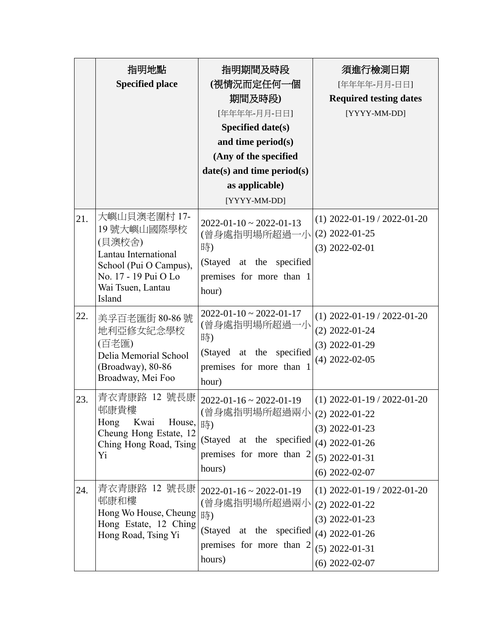|     | 指明地點<br><b>Specified place</b>                                                                                                                | 指明期間及時段<br>(視情況而定任何一個<br>期間及時段)<br>[年年年年-月月-日日]<br>Specified date(s)<br>and time period(s)<br>(Any of the specified<br>$date(s)$ and time period $(s)$<br>as applicable)<br>[YYYY-MM-DD] | 須進行檢測日期<br>[年年年年-月月-日日]<br><b>Required testing dates</b><br>[YYYY-MM-DD]                                                          |
|-----|-----------------------------------------------------------------------------------------------------------------------------------------------|------------------------------------------------------------------------------------------------------------------------------------------------------------------------------------------|-----------------------------------------------------------------------------------------------------------------------------------|
| 21. | 大嶼山貝澳老圍村 17-<br>19號大嶼山國際學校<br>(貝澳校舍)<br>Lantau International<br>School (Pui O Campus),<br>No. 17 - 19 Pui O Lo<br>Wai Tsuen, Lantau<br>Island | $2022 - 01 - 10 \approx 2022 - 01 - 13$<br>(曾身處指明場所超過一小<br>時)<br>(Stayed at the specified<br>premises for more than 1<br>hour)                                                           | $(1)$ 2022-01-19 / 2022-01-20<br>$(2)$ 2022-01-25<br>$(3)$ 2022-02-01                                                             |
| 22. | 美孚百老匯街 80-86號<br>地利亞修女紀念學校<br>(百老匯)<br>Delia Memorial School<br>(Broadway), 80-86<br>Broadway, Mei Foo                                        | $2022 - 01 - 10 \approx 2022 - 01 - 17$<br>(曾身處指明場所超過一小<br>時)<br>(Stayed at the specified<br>premises for more than 1<br>hour)                                                           | $(1)$ 2022-01-19 / 2022-01-20<br>$(2)$ 2022-01-24<br>$(3)$ 2022-01-29<br>$(4)$ 2022-02-05                                         |
| 23. | 青衣青康路 12 號長康<br>邨康貴樓<br>Hong<br>Kwai House,  時)<br>Cheung Hong Estate, 12<br>Ching Hong Road, Tsing<br>Yi                                     | $2022 - 01 - 16 \approx 2022 - 01 - 19$<br>(曾身處指明場所超過兩小<br>(Stayed at the specified<br>premises for more than 2<br>hours)                                                                | $(1)$ 2022-01-19 / 2022-01-20<br>$(2)$ 2022-01-22<br>$(3)$ 2022-01-23<br>$(4)$ 2022-01-26<br>$(5)$ 2022-01-31<br>$(6)$ 2022-02-07 |
| 24. | 青衣青康路 12 號長康<br>邨康和樓<br>Hong Wo House, Cheung  時)<br>Hong Estate, 12 Ching<br>Hong Road, Tsing Yi                                             | $2022 - 01 - 16 \approx 2022 - 01 - 19$<br>(曾身處指明場所超過兩小<br>(Stayed at the specified<br>premises for more than 2<br>hours)                                                                | $(1)$ 2022-01-19 / 2022-01-20<br>$(2)$ 2022-01-22<br>$(3)$ 2022-01-23<br>$(4)$ 2022-01-26<br>$(5)$ 2022-01-31<br>$(6)$ 2022-02-07 |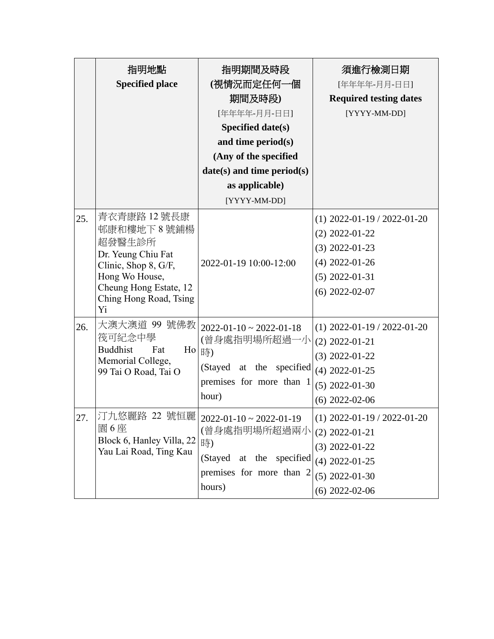|     | 指明地點<br><b>Specified place</b>                                                                                                                                   | 指明期間及時段<br>(視情況而定任何一個<br>期間及時段)<br>[年年年年-月月-日日]<br>Specified date(s)<br>and time period(s)<br>(Any of the specified<br>$date(s)$ and time period $(s)$<br>as applicable)<br>[YYYY-MM-DD] | 須進行檢測日期<br>[年年年年-月月-日日]<br><b>Required testing dates</b><br>[YYYY-MM-DD]                                                          |
|-----|------------------------------------------------------------------------------------------------------------------------------------------------------------------|------------------------------------------------------------------------------------------------------------------------------------------------------------------------------------------|-----------------------------------------------------------------------------------------------------------------------------------|
| 25. | 青衣青康路 12 號長康<br>邨康和樓地下 8 號鋪楊<br>超發醫生診所<br>Dr. Yeung Chiu Fat<br>Clinic, Shop 8, G/F,<br>Hong Wo House,<br>Cheung Hong Estate, 12<br>Ching Hong Road, Tsing<br>Yi | 2022-01-19 10:00-12:00                                                                                                                                                                   | $(1)$ 2022-01-19 / 2022-01-20<br>$(2)$ 2022-01-22<br>$(3)$ 2022-01-23<br>$(4)$ 2022-01-26<br>$(5)$ 2022-01-31<br>$(6)$ 2022-02-07 |
| 26. | 大澳大澳道 99 號佛教<br>筏可紀念中學<br><b>Buddhist</b><br>Fat<br>$H_0$<br>Memorial College,<br>99 Tai O Road, Tai O                                                           | $2022 - 01 - 10 \approx 2022 - 01 - 18$<br>(曾身處指明場所超過一小<br>時)<br>(Stayed at the<br>specified<br>premises for more than 1<br>hour)                                                        | $(1)$ 2022-01-19 / 2022-01-20<br>$(2)$ 2022-01-21<br>$(3)$ 2022-01-22<br>$(4)$ 2022-01-25<br>$(5)$ 2022-01-30<br>$(6)$ 2022-02-06 |
| 27  | 園6座<br>Block 6, Hanley Villa, 22<br>Yau Lai Road, Ting Kau                                                                                                       | 汀九悠麗路 22 號恒麗   2022-01-10~2022-01-19<br>(曾身處指明場所超過兩小<br>時)<br>(Stayed at the specified<br>premises for more than 2<br>hours)                                                             | $(1)$ 2022-01-19 / 2022-01-20<br>$(2)$ 2022-01-21<br>$(3)$ 2022-01-22<br>$(4)$ 2022-01-25<br>$(5)$ 2022-01-30<br>$(6)$ 2022-02-06 |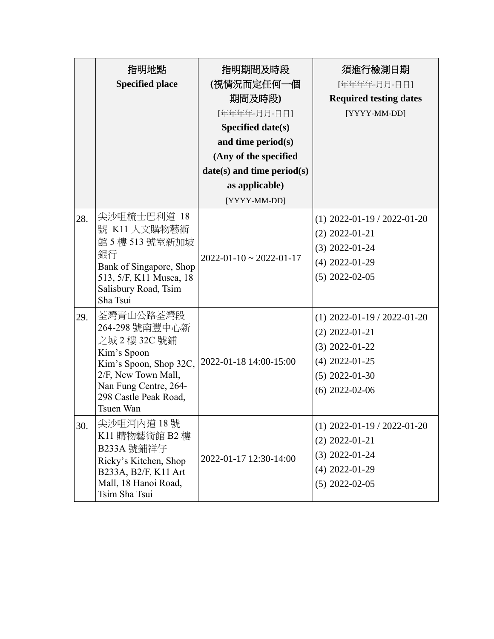|     | 指明地點<br><b>Specified place</b>                                                                                                                                              | 指明期間及時段<br>(視情況而定任何一個<br>期間及時段)<br>[年年年年-月月-日日]<br>Specified date(s)<br>and time period(s)<br>(Any of the specified<br>$date(s)$ and time period(s)<br>as applicable) | 須進行檢測日期<br>[年年年年-月月-日日]<br><b>Required testing dates</b><br>[YYYY-MM-DD]                                                          |
|-----|-----------------------------------------------------------------------------------------------------------------------------------------------------------------------------|-----------------------------------------------------------------------------------------------------------------------------------------------------------------------|-----------------------------------------------------------------------------------------------------------------------------------|
|     |                                                                                                                                                                             | [YYYY-MM-DD]                                                                                                                                                          |                                                                                                                                   |
| 28. | 尖沙咀梳士巴利道 18<br>號 K11 人文購物藝術<br>館 5 樓 513 號室新加坡<br>銀行<br>Bank of Singapore, Shop<br>513, 5/F, K11 Musea, 18<br>Salisbury Road, Tsim<br>Sha Tsui                              | $2022 - 01 - 10 \approx 2022 - 01 - 17$                                                                                                                               | $(1)$ 2022-01-19 / 2022-01-20<br>$(2)$ 2022-01-21<br>$(3)$ 2022-01-24<br>$(4)$ 2022-01-29<br>$(5)$ 2022-02-05                     |
| 29. | 荃灣青山公路荃灣段<br>264-298 號南豐中心新<br>之城 2 樓 32C 號鋪<br>Kim's Spoon<br>Kim's Spoon, Shop 32C,<br>2/F, New Town Mall,<br>Nan Fung Centre, 264-<br>298 Castle Peak Road,<br>Tsuen Wan | 2022-01-18 14:00-15:00                                                                                                                                                | $(1)$ 2022-01-19 / 2022-01-20<br>$(2)$ 2022-01-21<br>$(3)$ 2022-01-22<br>$(4)$ 2022-01-25<br>$(5)$ 2022-01-30<br>$(6)$ 2022-02-06 |
| 30. | 尖沙咀河内道 18 號<br>K11 購物藝術館 B2 樓<br>B233A 號鋪祥仔<br>Ricky's Kitchen, Shop<br>B233A, B2/F, K11 Art<br>Mall, 18 Hanoi Road,<br>Tsim Sha Tsui                                       | 2022-01-17 12:30-14:00                                                                                                                                                | $(1)$ 2022-01-19 / 2022-01-20<br>$(2)$ 2022-01-21<br>$(3)$ 2022-01-24<br>$(4)$ 2022-01-29<br>$(5)$ 2022-02-05                     |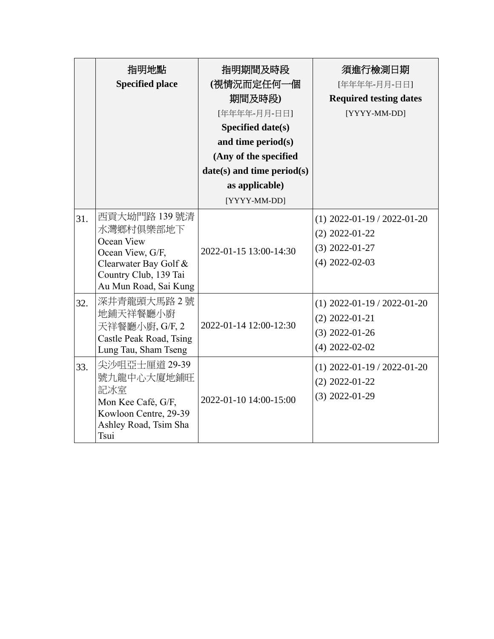|     | 指明地點<br><b>Specified place</b>                                                                                                          | 指明期間及時段<br>(視情況而定任何一個<br>期間及時段)<br>[年年年年-月月-日日] | 須進行檢測日期<br>[年年年年-月月-日日]<br><b>Required testing dates</b><br>[YYYY-MM-DD]                  |
|-----|-----------------------------------------------------------------------------------------------------------------------------------------|-------------------------------------------------|-------------------------------------------------------------------------------------------|
|     |                                                                                                                                         | Specified date(s)                               |                                                                                           |
|     |                                                                                                                                         | and time period(s)                              |                                                                                           |
|     |                                                                                                                                         | (Any of the specified                           |                                                                                           |
|     |                                                                                                                                         | $date(s)$ and time period $(s)$                 |                                                                                           |
|     |                                                                                                                                         | as applicable)                                  |                                                                                           |
|     |                                                                                                                                         | [YYYY-MM-DD]                                    |                                                                                           |
| 31. | 西貢大坳門路 139 號清<br>水灣鄉村俱樂部地下<br>Ocean View<br>Ocean View, G/F,<br>Clearwater Bay Golf &<br>Country Club, 139 Tai<br>Au Mun Road, Sai Kung | 2022-01-15 13:00-14:30                          | $(1)$ 2022-01-19 / 2022-01-20<br>$(2)$ 2022-01-22<br>$(3)$ 2022-01-27<br>$(4)$ 2022-02-03 |
| 32. | 深井青龍頭大馬路2號<br>地鋪天祥餐廳小廚<br>天祥餐廳小廚, G/F, 2<br>Castle Peak Road, Tsing<br>Lung Tau, Sham Tseng                                             | 2022-01-14 12:00-12:30                          | $(1)$ 2022-01-19 / 2022-01-20<br>$(2)$ 2022-01-21<br>$(3)$ 2022-01-26<br>$(4)$ 2022-02-02 |
| 33. | 尖沙咀亞士厘道 29-39<br>號九龍中心大廈地鋪旺<br>記冰室<br>Mon Kee Café, G/F,<br>Kowloon Centre, 29-39<br>Ashley Road, Tsim Sha<br>Tsui                      | 2022-01-10 14:00-15:00                          | $(1)$ 2022-01-19 / 2022-01-20<br>$(2)$ 2022-01-22<br>$(3)$ 2022-01-29                     |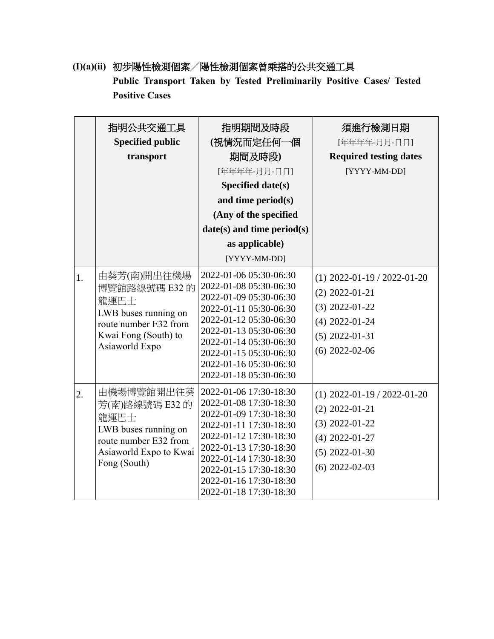**(I)(a)(ii)** 初步陽性檢測個案╱陽性檢測個案曾乘搭的公共交通工具 **Public Transport Taken by Tested Preliminarily Positive Cases/ Tested Positive Cases**

|    | 指明公共交通工具<br><b>Specified public</b><br>transport                                                                                | 指明期間及時段<br>(視情況而定任何一個<br>期間及時段)<br>[年年年年-月月-日日]<br><b>Specified date(s)</b><br>and time period(s)<br>(Any of the specified<br>$date(s)$ and time period(s)<br>as applicable)<br>[YYYY-MM-DD]                                                                     | 須進行檢測日期<br>[年年年年-月月-日日]<br><b>Required testing dates</b><br>[YYYY-MM-DD]                                                          |
|----|---------------------------------------------------------------------------------------------------------------------------------|------------------------------------------------------------------------------------------------------------------------------------------------------------------------------------------------------------------------------------------------------------------|-----------------------------------------------------------------------------------------------------------------------------------|
| 1. | 由葵芳(南)開出往機場<br>博覽館路線號碼 E32 的<br>龍運巴士<br>LWB buses running on<br>route number E32 from<br>Kwai Fong (South) to<br>Asiaworld Expo | 2022-01-06 05:30-06:30<br>2022-01-08 05:30-06:30<br>2022-01-09 05:30-06:30<br>2022-01-11 05:30-06:30<br>2022-01-12 05:30-06:30<br>2022-01-13 05:30-06:30<br>2022-01-14 05:30-06:30<br>2022-01-15 05:30-06:30<br>2022-01-16 05:30-06:30<br>2022-01-18 05:30-06:30 | $(1)$ 2022-01-19 / 2022-01-20<br>$(2)$ 2022-01-21<br>$(3)$ 2022-01-22<br>$(4)$ 2022-01-24<br>$(5)$ 2022-01-31<br>$(6)$ 2022-02-06 |
| 2. | 由機場博覽館開出往葵<br>芳(南)路線號碼 E32 的<br>龍運巴士<br>LWB buses running on<br>route number E32 from<br>Asiaworld Expo to Kwai<br>Fong (South) | 2022-01-06 17:30-18:30<br>2022-01-08 17:30-18:30<br>2022-01-09 17:30-18:30<br>2022-01-11 17:30-18:30<br>2022-01-12 17:30-18:30<br>2022-01-13 17:30-18:30<br>2022-01-14 17:30-18:30<br>2022-01-15 17:30-18:30<br>2022-01-16 17:30-18:30<br>2022-01-18 17:30-18:30 | $(1)$ 2022-01-19 / 2022-01-20<br>$(2)$ 2022-01-21<br>$(3)$ 2022-01-22<br>$(4)$ 2022-01-27<br>$(5)$ 2022-01-30<br>$(6)$ 2022-02-03 |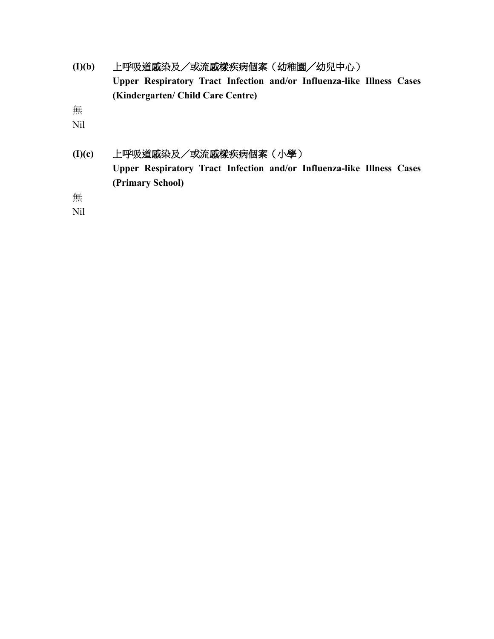**(I)(b)** 上呼吸道感染及/或流感樣疾病個案(幼稚園╱幼兒中心) **Upper Respiratory Tract Infection and/or Influenza-like Illness Cases (Kindergarten/ Child Care Centre)**

無

Nil

**(I)(c)** 上呼吸道感染及/或流感樣疾病個案(小學) **Upper Respiratory Tract Infection and/or Influenza-like Illness Cases (Primary School)**

無

Nil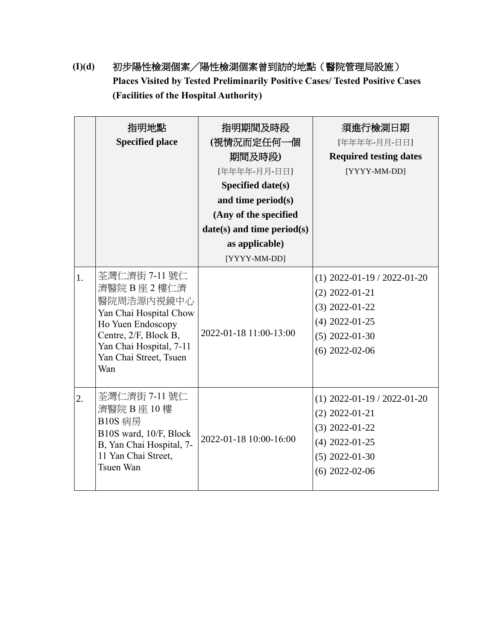**(I)(d)** 初步陽性檢測個案╱陽性檢測個案曾到訪的地點(醫院管理局設施) **Places Visited by Tested Preliminarily Positive Cases/ Tested Positive Cases (Facilities of the Hospital Authority)**

|    | 指明地點                                                                                                                                                                             | 指明期間及時段                      | 須進行檢測日期                                                                                                                           |
|----|----------------------------------------------------------------------------------------------------------------------------------------------------------------------------------|------------------------------|-----------------------------------------------------------------------------------------------------------------------------------|
|    | <b>Specified place</b>                                                                                                                                                           | (視情況而定任何一個                   | [年年年年-月月-日日]                                                                                                                      |
|    |                                                                                                                                                                                  | 期間及時段)                       | <b>Required testing dates</b>                                                                                                     |
|    |                                                                                                                                                                                  | [年年年年-月月-日日]                 | [YYYY-MM-DD]                                                                                                                      |
|    |                                                                                                                                                                                  | Specified date(s)            |                                                                                                                                   |
|    |                                                                                                                                                                                  | and time period(s)           |                                                                                                                                   |
|    |                                                                                                                                                                                  | (Any of the specified        |                                                                                                                                   |
|    |                                                                                                                                                                                  | $date(s)$ and time period(s) |                                                                                                                                   |
|    |                                                                                                                                                                                  | as applicable)               |                                                                                                                                   |
|    |                                                                                                                                                                                  | [YYYY-MM-DD]                 |                                                                                                                                   |
| 1. | 荃灣仁濟街 7-11 號仁<br>濟醫院 B 座 2 樓仁濟<br>醫院周浩源內視鏡中心<br>Yan Chai Hospital Chow<br>Ho Yuen Endoscopy<br>Centre, 2/F, Block B,<br>Yan Chai Hospital, 7-11<br>Yan Chai Street, Tsuen<br>Wan | 2022-01-18 11:00-13:00       | $(1)$ 2022-01-19 / 2022-01-20<br>$(2)$ 2022-01-21<br>$(3)$ 2022-01-22<br>$(4)$ 2022-01-25<br>$(5)$ 2022-01-30<br>$(6)$ 2022-02-06 |
| 2. | 荃灣仁濟街 7-11 號仁<br>濟醫院 B 座 10 樓<br><b>B10S 病房</b><br>B10S ward, 10/F, Block<br>B, Yan Chai Hospital, 7-<br>11 Yan Chai Street,<br>Tsuen Wan                                        | 2022-01-18 10:00-16:00       | $(1)$ 2022-01-19 / 2022-01-20<br>$(2)$ 2022-01-21<br>$(3)$ 2022-01-22<br>$(4)$ 2022-01-25<br>$(5)$ 2022-01-30<br>$(6)$ 2022-02-06 |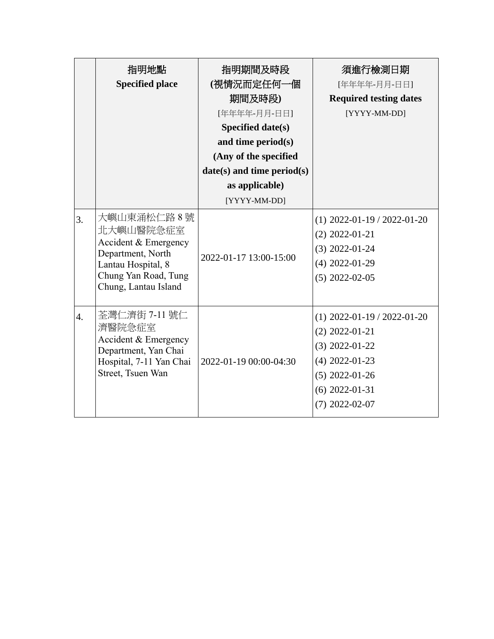|                  | 指明地點                                                                                               | 指明期間及時段                      | 須進行檢測日期                                           |
|------------------|----------------------------------------------------------------------------------------------------|------------------------------|---------------------------------------------------|
|                  | <b>Specified place</b>                                                                             | (視情況而定任何一個                   | [年年年年-月月-日日]                                      |
|                  |                                                                                                    | 期間及時段)                       | <b>Required testing dates</b>                     |
|                  |                                                                                                    | [年年年年-月月-日日]                 | [YYYY-MM-DD]                                      |
|                  |                                                                                                    | Specified date(s)            |                                                   |
|                  |                                                                                                    | and time period(s)           |                                                   |
|                  |                                                                                                    | (Any of the specified        |                                                   |
|                  |                                                                                                    | $date(s)$ and time period(s) |                                                   |
|                  |                                                                                                    | as applicable)               |                                                   |
|                  |                                                                                                    | [YYYY-MM-DD]                 |                                                   |
| 3.               | 大嶼山東涌松仁路8號<br>北大嶼山醫院急症室<br>Accident & Emergency<br>Department, North<br>Lantau Hospital, 8         | 2022-01-17 13:00-15:00       | $(1)$ 2022-01-19 / 2022-01-20<br>$(2)$ 2022-01-21 |
|                  |                                                                                                    |                              | $(3)$ 2022-01-24                                  |
|                  |                                                                                                    |                              | $(4)$ 2022-01-29                                  |
|                  | Chung Yan Road, Tung                                                                               |                              | $(5)$ 2022-02-05                                  |
|                  | Chung, Lantau Island                                                                               |                              |                                                   |
| $\overline{4}$ . | 荃灣仁濟街 7-11 號仁<br>濟醫院急症室<br>Accident & Emergency<br>Department, Yan Chai<br>Hospital, 7-11 Yan Chai | 2022-01-19 00:00-04:30       | $(1)$ 2022-01-19 / 2022-01-20                     |
|                  |                                                                                                    |                              | $(2)$ 2022-01-21                                  |
|                  |                                                                                                    |                              | $(3)$ 2022-01-22                                  |
|                  |                                                                                                    |                              | $(4)$ 2022-01-23                                  |
|                  | Street, Tsuen Wan                                                                                  |                              | $(5)$ 2022-01-26                                  |
|                  |                                                                                                    |                              | $(6)$ 2022-01-31                                  |
|                  |                                                                                                    |                              | $(7)$ 2022-02-07                                  |